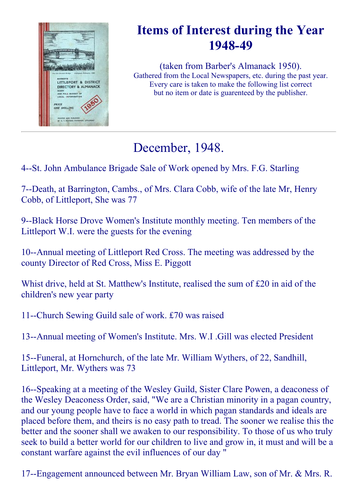

# Items of Interest during the Year 1948-49

(taken from Barber's Almanack 1950). Gathered from the Local Newspapers, etc. during the past year. Every care is taken to make the following list correct but no item or date is guarenteed by the publisher.

# December, 1948.

4--St. John Ambulance Brigade Sale of Work opened by Mrs. F.G. Starling

7--Death, at Barrington, Cambs., of Mrs. Clara Cobb, wife of the late Mr, Henry Cobb, of Littleport, She was 77

9--Black Horse Drove Women's Institute monthly meeting. Ten members of the Littleport W.I. were the guests for the evening

10--Annual meeting of Littleport Red Cross. The meeting was addressed by the county Director of Red Cross, Miss E. Piggott

Whist drive, held at St. Matthew's Institute, realised the sum of £20 in aid of the children's new year party

11--Church Sewing Guild sale of work. £70 was raised

13--Annual meeting of Women's Institute. Mrs. W.I .Gill was elected President

15--Funeral, at Hornchurch, of the late Mr. William Wythers, of 22, Sandhill, Littleport, Mr. Wythers was 73

16--Speaking at a meeting of the Wesley Guild, Sister Clare Powen, a deaconess of the Wesley Deaconess Order, said, "We are a Christian minority in a pagan country, and our young people have to face a world in which pagan standards and ideals are placed before them, and theirs is no easy path to tread. The sooner we realise this the better and the sooner shall we awaken to our responsibility. To those of us who truly seek to build a better world for our children to live and grow in, it must and will be a constant warfare against the evil influences of our day "

17--Engagement announced between Mr. Bryan William Law, son of Mr. & Mrs. R.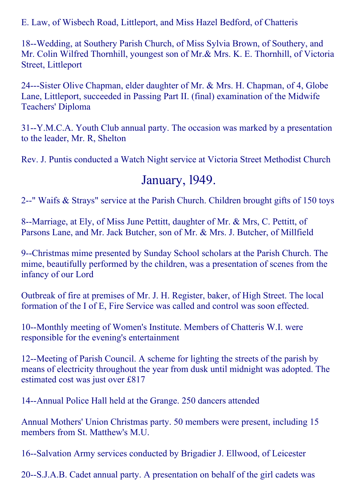E. Law, of Wisbech Road, Littleport, and Miss Hazel Bedford, of Chatteris

18--Wedding, at Southery Parish Church, of Miss Sylvia Brown, of Southery, and Mr. Colin Wilfred Thornhill, youngest son of Mr.& Mrs. K. E. Thornhill, of Victoria Street, Littleport

24—Sister Olive Chapman, elder daughter of Mr. & Mrs. H. Chapman, of 4, Globe Lane, Littleport, succeeded in Passing Part II. (final) examination of the Midwife Teachers' Diploma

31--Y.M.C.A. Youth Club annual party. The occasion was marked by a presentation to the leader, Mr. R, Shelton

Rev. J. Puntis conducted a Watch Night service at Victoria Street Methodist Church

## January, l949.

2--" Waifs & Strays" service at the Parish Church. Children brought gifts of 150 toys

8--Marriage, at Ely, of Miss June Pettitt, daughter of Mr. & Mrs, C. Pettitt, of Parsons Lane, and Mr. Jack Butcher, son of Mr. & Mrs. J. Butcher, of Millfield

9--Christmas mime presented by Sunday School scholars at the Parish Church. The mime, beautifully performed by the children, was a presentation of scenes from the infancy of our Lord

Outbreak of fire at premises of Mr. J. H. Register, baker, of High Street. The local formation of the I of E, Fire Service was called and control was soon effected.

10--Monthly meeting of Women's Institute. Members of Chatteris W.I. were responsible for the evening's entertainment

12--Meeting of Parish Council. A scheme for lighting the streets of the parish by means of electricity throughout the year from dusk until midnight was adopted. The estimated cost was just over £817

14--Annual Police Hall held at the Grange. 250 dancers attended

Annual Mothers' Union Christmas party. 50 members were present, including 15 members from St. Matthew's M.U.

16--Salvation Army services conducted by Brigadier J. Ellwood, of Leicester

20--S.J.A.B. Cadet annual party. A presentation on behalf of the girl cadets was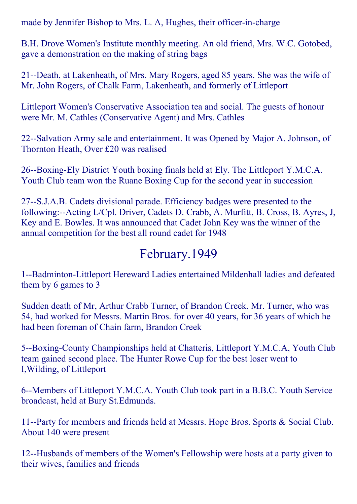made by Jennifer Bishop to Mrs. L. A, Hughes, their officer-in-charge

B.H. Drove Women's Institute monthly meeting. An old friend, Mrs. W.C. Gotobed, gave a demonstration on the making of string bags

21--Death, at Lakenheath, of Mrs. Mary Rogers, aged 85 years. She was the wife of Mr. John Rogers, of Chalk Farm, Lakenheath, and formerly of Littleport

Littleport Women's Conservative Association tea and social. The guests of honour were Mr. M. Cathles (Conservative Agent) and Mrs. Cathles

22--Salvation Army sale and entertainment. It was Opened by Major A. Johnson, of Thornton Heath, Over £20 was realised

26--Boxing-Ely District Youth boxing finals held at Ely. The Littleport Y.M.C.A. Youth Club team won the Ruane Boxing Cup for the second year in succession

27--S.J.A.B. Cadets divisional parade. Efficiency badges were presented to the following:--Acting L/Cpl. Driver, Cadets D. Crabb, A. Murfitt, B. Cross, B. Ayres, J, Key and E. Bowles. It was announced that Cadet John Key was the winner of the annual competition for the best all round cadet for 1948

## February.1949

1--Badminton-Littleport Hereward Ladies entertained Mildenhall ladies and defeated them by 6 games to 3

Sudden death of Mr, Arthur Crabb Turner, of Brandon Creek. Mr. Turner, who was 54, had worked for Messrs. Martin Bros. for over 40 years, for 36 years of which he had been foreman of Chain farm, Brandon Creek

5--Boxing-County Championships held at Chatteris, Littleport Y.M.C.A, Youth Club team gained second place. The Hunter Rowe Cup for the best loser went to I,Wilding, of Littleport

6--Members of Littleport Y.M.C.A. Youth Club took part in a B.B.C. Youth Service broadcast, held at Bury St.Edmunds.

11--Party for members and friends held at Messrs. Hope Bros. Sports & Social Club. About 140 were present

12--Husbands of members of the Women's Fellowship were hosts at a party given to their wives, families and friends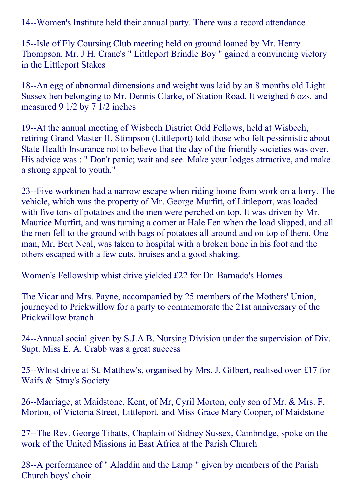14--Women's Institute held their annual party. There was a record attendance

15--Isle of Ely Coursing Club meeting held on ground loaned by Mr. Henry Thompson. Mr. J H. Crane's " Littleport Brindle Boy " gained a convincing victory in the Littleport Stakes

18--An egg of abnormal dimensions and weight was laid by an 8 months old Light Sussex hen belonging to Mr. Dennis Clarke, of Station Road. It weighed 6 ozs. and measured 9 1/2 by 7 1/2 inches

19--At the annual meeting of Wisbech District Odd Fellows, held at Wisbech, retiring Grand Master H. Stimpson (Littleport) told those who felt pessimistic about State Health Insurance not to believe that the day of the friendly societies was over. His advice was : " Don't panic; wait and see. Make your lodges attractive, and make a strong appeal to youth."

23-Five workmen had a narrow escape when riding home from work on a lorry. The vehicle, which was the property of Mr. George Murfitt, of Littleport, was loaded with five tons of potatoes and the men were perched on top. It was driven by Mr. Maurice Murfitt, and was turning a corner at Hale Fen when the load slipped, and all the men fell to the ground with bags of potatoes all around and on top of them. One man, Mr. Bert Neal, was taken to hospital with a broken bone in his foot and the others escaped with a few cuts, bruises and a good shaking.

Women's Fellowship whist drive yielded £22 for Dr. Barnado's Homes

The Vicar and Mrs. Payne, accompanied by 25 members of the Mothers' Union, journeyed to Prickwillow for a party to commemorate the 21st anniversary of the Prickwillow branch

24--Annual social given by S.J.A.B. Nursing Division under the supervision of Div. Supt. Miss E. A. Crabb was a great success

25--Whist drive at St. Matthew's, organised by Mrs. J. Gilbert, realised over £17 for Waifs & Stray's Society

26--Marriage, at Maidstone, Kent, of Mr, Cyril Morton, only son of Mr. & Mrs. F, Morton, of Victoria Street, Littleport, and Miss Grace Mary Cooper, of Maidstone

27--The Rev. George Tibatts, Chaplain of Sidney Sussex, Cambridge, spoke on the work of the United Missions in East Africa at the Parish Church

28--A performance of " Aladdin and the Lamp " given by members of the Parish Church boys' choir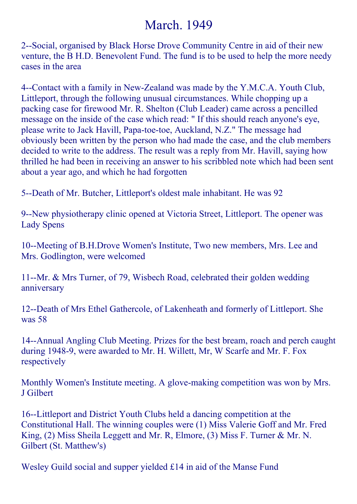## March. 1949

2--Social, organised by Black Horse Drove Community Centre in aid of their new venture, the B H.D. Benevolent Fund. The fund is to be used to help the more needy cases in the area

4--Contact with a family in New-Zealand was made by the Y.M.C.A. Youth Club, Littleport, through the following unusual circumstances. While chopping up a packing case for firewood Mr. R. Shelton (Club Leader) came across a pencilled message on the inside of the case which read: " If this should reach anyone's eye, please write to Jack Havill, Papa-toe-toe, Auckland, N.Z." The message had obviously been written by the person who had made the case, and the club members decided to write to the address. The result was a reply from Mr. Havill, saying how thrilled he had been in receiving an answer to his scribbled note which had been sent about a year ago, and which he had forgotten

5--Death of Mr. Butcher, Littleport's oldest male inhabitant. He was 92

9--New physiotherapy clinic opened at Victoria Street, Littleport. The opener was Lady Spens

10--Meeting of B.H.Drove Women's Institute, Two new members, Mrs. Lee and Mrs. Godlington, were welcomed

11--Mr. & Mrs Turner, of 79, Wisbech Road, celebrated their golden wedding anniversary

12--Death of Mrs Ethel Gathercole, of Lakenheath and formerly of Littleport. She was 58

14--Annual Angling Club Meeting. Prizes for the best bream, roach and perch caught during 1948-9, were awarded to Mr. H. Willett, Mr. W Scarfe and Mr. F. Fox respectively

Monthly Women's Institute meeting. A glove-making competition was won by Mrs. J Gilbert

16--Littleport and District Youth Clubs held a dancing competition at the Constitutional Hall. The winning couples were (1) Miss Valerie Goff and Mr. Fred King, (2) Miss Sheila Leggett and Mr. R, Elmore, (3) Miss F. Turner & Mr. N. Gilbert (St. Matthew's)

Wesley Guild social and supper yielded £14 in aid of the Manse Fund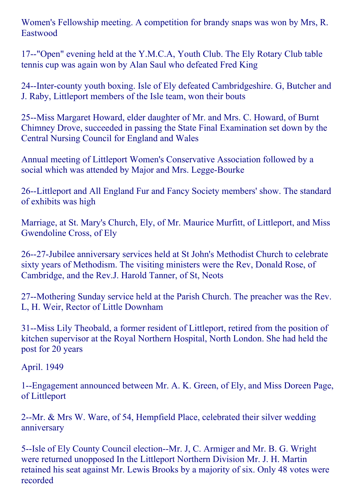Women's Fellowship meeting. A competition for brandy snaps was won by Mrs, R. Eastwood

17--"Open" evening held at the Y.M.C.A, Youth Club. The Ely Rotary Club table tennis cup was again won by Alan Saul who defeated Fred King

24--Inter-county youth boxing. Isle of Ely defeated Cambridgeshire. G, Butcher and J. Raby, Littleport members of the Isle team, won their bouts

25--Miss Margaret Howard, elder daughter of Mr. and Mrs. C. Howard, of Burnt Chimney Drove, succeeded in passing the State Final Examination set down by the Central Nursing Council for England and Wales

Annual meeting of Littleport Women's Conservative Association followed by a social which was attended by Major and Mrs. Legge-Bourke

26--Littleport and All England Fur and Fancy Society members' show. The standard of exhibits was high

Marriage, at St. Mary's Church, Ely, of Mr. Maurice Murfitt, of Littleport, and Miss Gwendoline Cross, of Ely

26--27-Jubilee anniversary services held at St John's Methodist Church to celebrate sixty years of Methodism. The visiting ministers were the Rev, Donald Rose, of Cambridge, and the Rev.J. Harold Tanner, of St, Neots

27--Mothering Sunday service held at the Parish Church. The preacher was the Rev. L, H. Weir, Rector of Little Downham

31--Miss Lily Theobald, a former resident of Littleport, retired from the position of kitchen supervisor at the Royal Northern Hospital, North London. She had held the post for 20 years

April. 1949

1--Engagement announced between Mr. A. K. Green, of Ely, and Miss Doreen Page, of Littleport

2--Mr. & Mrs W. Ware, of 54, Hempfield Place, celebrated their silver wedding anniversary

5--Isle of Ely County Council election--Mr. J, C. Armiger and Mr. B. G. Wright were returned unopposed In the Littleport Northern Division Mr. J. H. Martin retained his seat against Mr. Lewis Brooks by a majority of six. Only 48 votes were recorded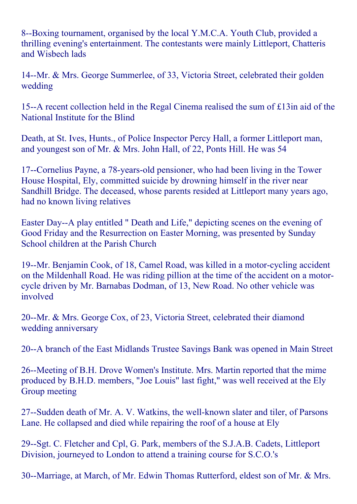8--Boxing tournament, organised by the local Y.M.C.A. Youth Club, provided a thrilling evening's entertainment. The contestants were mainly Littleport, Chatteris and Wisbech lads

14--Mr. & Mrs. George Summerlee, of 33, Victoria Street, celebrated their golden wedding

15--A recent collection held in the Regal Cinema realised the sum of £13in aid of the National Institute for the Blind

Death, at St. Ives, Hunts., of Police Inspector Percy Hall, a former Littleport man, and youngest son of Mr. & Mrs. John Hall, of 22, Ponts Hill. He was 54

17--Cornelius Payne, a 78-years-old pensioner, who had been living in the Tower House Hospital, Ely, committed suicide by drowning himself in the river near Sandhill Bridge. The deceased, whose parents resided at Littleport many years ago, had no known living relatives

Easter Day--A play entitled " Death and Life," depicting scenes on the evening of Good Friday and the Resurrection on Easter Morning, was presented by Sunday School children at the Parish Church

19--Mr. Benjamin Cook, of 18, Camel Road, was killed in a motor-cycling accident on the Mildenhall Road. He was riding pillion at the time of the accident on a motorcycle driven by Mr. Barnabas Dodman, of 13, New Road. No other vehicle was involved

20--Mr. & Mrs. George Cox, of 23, Victoria Street, celebrated their diamond wedding anniversary

20--A branch of the East Midlands Trustee Savings Bank was opened in Main Street

26--Meeting of B.H. Drove Women's Institute. Mrs. Martin reported that the mime produced by B.H.D. members, "Joe Louis" last fight," was well received at the Ely Group meeting

27--Sudden death of Mr. A. V. Watkins, the well-known slater and tiler, of Parsons Lane. He collapsed and died while repairing the roof of a house at Ely

29--Sgt. C. Fletcher and Cpl, G. Park, members of the S.J.A.B. Cadets, Littleport Division, journeyed to London to attend a training course for S.C.O.'s

30--Marriage, at March, of Mr. Edwin Thomas Rutterford, eldest son of Mr. & Mrs.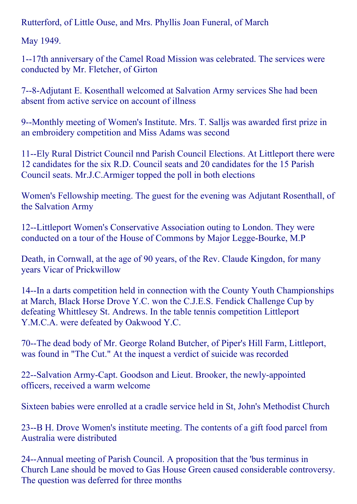Rutterford, of Little Ouse, and Mrs. Phyllis Joan Funeral, of March

May 1949.

117th anniversary of the Camel Road Mission was celebrated. The services were conducted by Mr. Fletcher, of Girton

7--8-Adjutant E. Kosenthall welcomed at Salvation Army services She had been absent from active service on account of illness

9--Monthly meeting of Women's Institute. Mrs. T. Sallis was awarded first prize in an embroidery competition and Miss Adams was second

11--Ely Rural District Council nnd Parish Council Elections. At Littleport there were 12 candidates for the six R.D. Council seats and 20 candidates for the 15 Parish Council seats. Mr.J.C.Armiger topped the poll in both elections

Women's Fellowship meeting. The guest for the evening was Adjutant Rosenthall, of the Salvation Army

12--Littleport Women's Conservative Association outing to London. They were conducted on a tour of the House of Commons by Major Legge-Bourke, M.P.

Death, in Cornwall, at the age of 90 years, of the Rev. Claude Kingdon, for many years Vicar of Prickwillow

14--In a darts competition held in connection with the County Youth Championships at March, Black Horse Drove Y.C. won the C.J.E.S. Fendick Challenge Cup by defeating Whittlesey St. Andrews. In the table tennis competition Littleport Y.M.C.A. were defeated by Oakwood Y.C.

70--The dead body of Mr. George Roland Butcher, of Piper's Hill Farm, Littleport, was found in "The Cut." At the inquest a verdict of suicide was recorded

22--Salvation Army-Capt. Goodson and Lieut. Brooker, the newly-appointed officers, received a warm welcome

Sixteen babies were enrolled at a cradle service held in St, John's Methodist Church

23--B H. Drove Women's institute meeting. The contents of a gift food parcel from Australia were distributed

24--Annual meeting of Parish Council. A proposition that the 'bus terminus in Church Lane should be moved to Gas House Green caused considerable controversy. The question was deferred for three months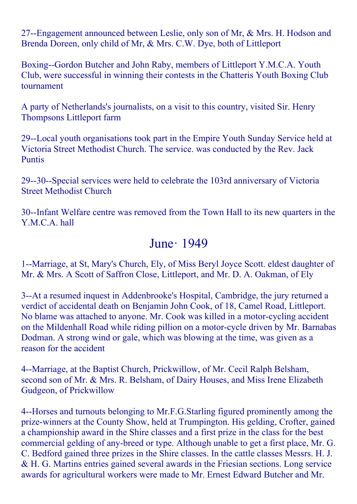27--Engagement announced between Leslie, only son of Mr, & Mrs. H. Hodson and Brenda Doreen, only child of Mr, & Mrs. C.W. Dye, both of Littleport

Boxing--Gordon Butcher and John Raby, members of Littleport Y.M.C.A. Youth Club, were successful in winning their contests in the Chatteris Youth Boxing Club tournament

A party of Netherlands's journalists, on a visit to this country, visited Sir. Henry Thompsons Littleport farm

29--Local youth organisations took part in the Empire Youth Sunday Service held at Victoria Street Methodist Church. The service. was conducted by the Rev. Jack Puntis

29--30--Special services were held to celebrate the 103rd anniversary of Victoria Street Methodist Church

30--Infant Welfare centre was removed from the Town Hall to its new quarters in the Y M C A hall

#### June· 1949

1--Marriage, at St, Mary's Church, Ely, of Miss Beryl Joyce Scott. eldest daughter of Mr. & Mrs. A Scott of Saffron Close, Littleport, and Mr. D. A. Oakman, of Ely

3--At a resumed inquest in Addenbrooke's Hospital, Cambridge, the jury returned a verdict of accidental death on Benjamin John Cook, of 18, Camel Road, Littleport. No blame was attached to anyone. Mr. Cook was killed in a motor-cycling accident on the Mildenhall Road while riding pillion on a motor-cycle driven by Mr. Barnabas Dodman. A strong wind or gale, which was blowing at the time, was given as a reason for the accident

4--Marriage, at the Baptist Church, Prickwillow, of Mr. Cecil Ralph Belsham, second son of Mr. & Mrs. R. Belsham, of Dairy Houses, and Miss Irene Elizabeth Gudgeon, of Prickwillow

4--Horses and turnouts belonging to Mr.F.G.Starling figured prominently among the prize-winners at the County Show, held at Trumpington. His gelding, Crofter, gained a championship award in the Shire classes and a first prize in the class for the best commercial gelding of any-breed or type. Although unable to get a first place, Mr. G. C. Bedford gained three prizes in the Shire classes. In the cattle classes Messrs. H. J. & H. G. Martins entries gained several awards in the Friesian sections. Long service awards for agricultural workers were made to Mr. Ernest Edward Butcher and Mr.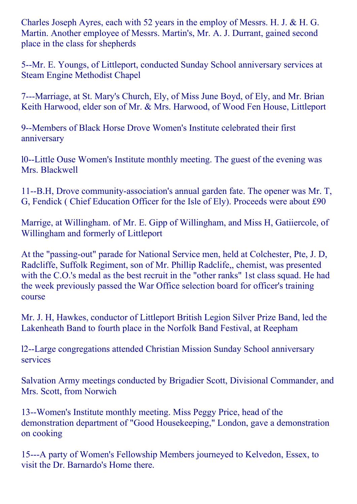Charles Joseph Ayres, each with 52 years in the employ of Messrs. H. J. & H. G. Martin. Another employee of Messrs. Martin's, Mr. A. J. Durrant, gained second place in the class for shepherds

5--Mr. E. Youngs, of Littleport, conducted Sunday School anniversary services at Steam Engine Methodist Chapel

7---Marriage, at St. Mary's Church, Ely, of Miss June Boyd, of Ely, and Mr. Brian Keith Harwood, elder son of Mr. & Mrs. Harwood, of Wood Fen House, Littleport

9--Members of Black Horse Drove Women's Institute celebrated their first anniversary

10--Little Ouse Women's Institute monthly meeting. The guest of the evening was Mrs. Blackwell

11--B.H, Drove community-association's annual garden fate. The opener was Mr. T, G, Fendick ( Chief Education Officer for the Isle of Ely). Proceeds were about £90

Marrige, at Willingham. of Mr. E. Gipp of Willingham, and Miss H, Gatiiercole, of Willingham and formerly of Littleport

At the "passing-out" parade for National Service men, held at Colchester, Pte, J. D, Radcliffe, Suffolk Regiment, son of Mr. Phillip Radclife,, chemist, was presented with the C.O.'s medal as the best recruit in the "other ranks" 1st class squad. He had the week previously passed the War Office selection board for officer's training course

Mr. J. H, Hawkes, conductor of Littleport British Legion Silver Prize Band, led the Lakenheath Band to fourth place in the Norfolk Band Festival, at Reepham

12--Large congregations attended Christian Mission Sunday School anniversary services

Salvation Army meetings conducted by Brigadier Scott, Divisional Commander, and Mrs. Scott, from Norwich

13--Women's Institute monthly meeting. Miss Peggy Price, head of the demonstration department of "Good Housekeeping," London, gave a demonstration on cooking

15---A party of Women's Fellowship Members journeyed to Kelvedon, Essex, to visit the Dr. Barnardo's Home there.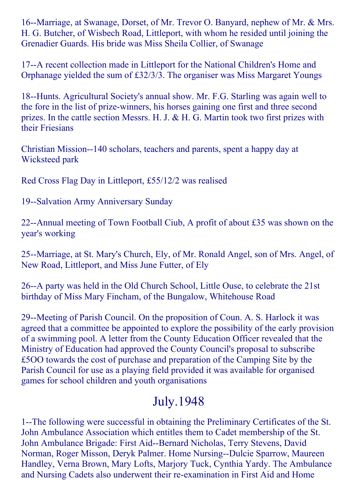16--Marriage, at Swanage, Dorset, of Mr. Trevor O. Banyard, nephew of Mr. & Mrs. H. G. Butcher, of Wisbech Road, Littleport, with whom he resided until joining the Grenadier Guards. His bride was Miss Sheila Collier, of Swanage

17--A recent collection made in Littleport for the National Children's Home and Orphanage yielded the sum of £32/3/3. The organiser was Miss Margaret Youngs

18--Hunts. Agricultural Society's annual show. Mr. F.G. Starling was again well to the fore in the list of prize-winners, his horses gaining one first and three second prizes. In the cattle section Messrs. H. J. & H. G. Martin took two first prizes with their Friesians

Christian Mission--140 scholars, teachers and parents, spent a happy day at Wicksteed park

Red Cross Flag Day in Littleport, £55/12/2 was realised

19--Salvation Army Anniversary Sunday

22--Annual meeting of Town Football Ciub, A profit of about  $\pounds 35$  was shown on the year's working

25--Marriage, at St. Mary's Church, Ely, of Mr. Ronald Angel, son of Mrs. Angel, of New Road, Littleport, and Miss June Futter, of Ely

26--A party was held in the Old Church School, Little Ouse, to celebrate the 21st birthday of Miss Mary Fincham, of the Bungalow, Whitehouse Road

29--Meeting of Parish Council. On the proposition of Coun. A. S. Harlock it was agreed that a committee be appointed to explore the possibility of the early provision of a swimming pool. A letter from the County Education Officer revealed that the Ministry of Education had approved the County Council's proposal to subscribe £5OO towards the cost of purchase and preparation of the Camping Site by the Parish Council for use as a playing field provided it was available for organised games for school children and youth organisations

# July.1948

1--The following were successful in obtaining the Preliminary Certificates of the St. John Ambulance Association which entitles them to Cadet membership of the St. John Ambulance Brigade: First Aid--Bernard Nicholas, Terry Stevens, David Norman, Roger Misson, Deryk Palmer. Home Nursing--Dulcie Sparrow, Maureen Handley, Verna Brown, Mary Lofts, Marjory Tuck, Cynthia Yardy. The Ambulance and Nursing Cadets also underwent their re-examination in First Aid and Home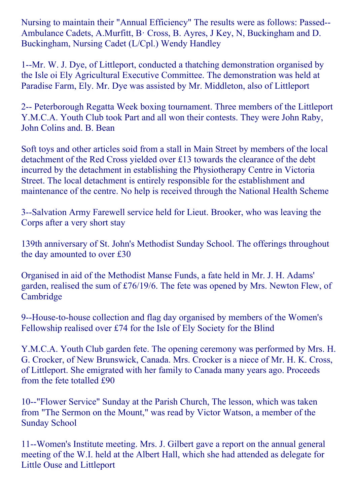Nursing to maintain their "Annual Efficiency" The results were as follows: Passed Ambulance Cadets, A.Murfitt, B· Cross, B. Ayres, J Key, N, Buckingham and D. Buckingham, Nursing Cadet (L/Cpl.) Wendy Handley

1--Mr. W. J. Dye, of Littleport, conducted a thatching demonstration organised by the Isle oi Ely Agricultural Executive Committee. The demonstration was held at Paradise Farm, Ely. Mr. Dye was assisted by Mr. Middleton, also of Littleport

2 Peterborough Regatta Week boxing tournament. Three members of the Littleport Y.M.C.A. Youth Club took Part and all won their contests. They were John Raby, John Colins and. B. Bean

Soft toys and other articles soid from a stall in Main Street by members of the local detachment of the Red Cross yielded over £13 towards the clearance of the debt incurred by the detachment in establishing the Physiotherapy Centre in Victoria Street. The local detachment is entirely responsible for the establishment and maintenance of the centre. No help is received through the National Health Scheme

3--Salvation Army Farewell service held for Lieut. Brooker, who was leaving the Corps after a very short stay

139th anniversary of St. John's Methodist Sunday School. The offerings throughout the day amounted to over £30

Organised in aid of the Methodist Manse Funds, a fate held in Mr. J. H. Adams' garden, realised the sum of £76/19/6. The fete was opened by Mrs. Newton Flew, of Cambridge

9--House-to-house collection and flag day organised by members of the Women's Fellowship realised over £74 for the Isle of Ely Society for the Blind

Y.M.C.A. Youth Club garden fete. The opening ceremony was performed by Mrs. H. G. Crocker, of New Brunswick, Canada. Mrs. Crocker is a niece of Mr. H. K. Cross, of Littleport. She emigrated with her family to Canada many years ago. Proceeds from the fete totalled £90

10--"Flower Service" Sunday at the Parish Church, The lesson, which was taken from "The Sermon on the Mount," was read by Victor Watson, a member of the Sunday School

11--Women's Institute meeting. Mrs. J. Gilbert gave a report on the annual general meeting of the W.I. held at the Albert Hall, which she had attended as delegate for Little Ouse and Littleport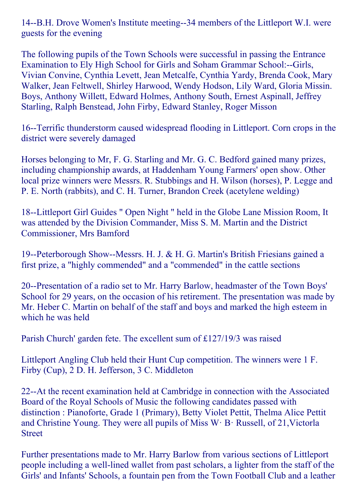14--B.H. Drove Women's Institute meeting--34 members of the Littleport W.I. were guests for the evening

The following pupils of the Town Schools were successful in passing the Entrance Examination to Ely High School for Girls and Soham Grammar School:--Girls, Vivian Convine, Cynthia Levett, Jean Metcalfe, Cynthia Yardy, Brenda Cook, Mary Walker, Jean Feltwell, Shirley Harwood, Wendy Hodson, Lily Ward, Gloria Missin. Boys, Anthony Willett, Edward Holmes, Anthony South, Ernest Aspinall, Jeffrey Starling, Ralph Benstead, John Firby, Edward Stanley, Roger Misson

16-Terrific thunderstorm caused widespread flooding in Littleport. Corn crops in the district were severely damaged

Horses belonging to Mr, F. G. Starling and Mr. G. C. Bedford gained many prizes, including championship awards, at Haddenham Young Farmers' open show. Other local prize winners were Messrs. R. Stubbings and H. Wilson (horses), P. Legge and P. E. North (rabbits), and C. H. Turner, Brandon Creek (acetylene welding)

18--Littleport Girl Guides " Open Night " held in the Globe Lane Mission Room, It was attended by the Division Commander, Miss S. M. Martin and the District Commissioner, Mrs Bamford

19--Peterborough Show--Messrs. H. J. & H. G. Martin's British Friesians gained a first prize, a "highly commended" and a "commended" in the cattle sections

20--Presentation of a radio set to Mr. Harry Barlow, headmaster of the Town Boys' School for 29 years, on the occasion of his retirement. The presentation was made by Mr. Heber C. Martin on behalf of the staff and boys and marked the high esteem in which he was held

Parish Church' garden fete. The excellent sum of £127/19/3 was raised

Littleport Angling Club held their Hunt Cup competition. The winners were 1 F. Firby (Cup), 2 D. H. Jefferson, 3 C. Middleton

22--At the recent examination held at Cambridge in connection with the Associated Board of the Royal Schools of Music the following candidates passed with distinction : Pianoforte, Grade 1 (Primary), Betty Violet Pettit, Thelma Alice Pettit and Christine Young. They were all pupils of Miss W· B· Russell, of 21,Victorla **Street** 

Further presentations made to Mr. Harry Barlow from various sections of Littleport people including a well-lined wallet from past scholars, a lighter from the staff of the Girls' and Infants' Schools, a fountain pen from the Town Football Club and a leather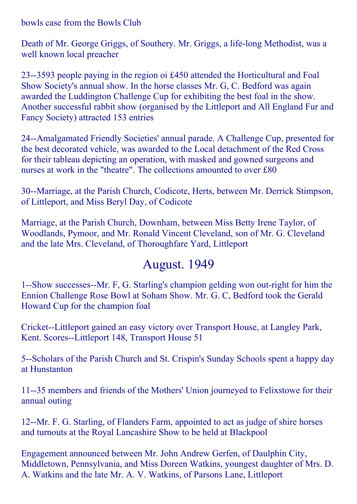bowls case from the Bowls Club

Death of Mr. George Griggs, of Southery. Mr. Griggs, a life-long Methodist, was a well known local preacher

23--3593 people paying in the region oi £450 attended the Horticultural and Foal Show Society's annual show. In the horse classes Mr. G, C. Bedford was again awarded the Luddington Challenge Cup for exhibiting the best foal in the show. Another successful rabbit show (organised by the Littleport and All England Fur and Fancy Society) attracted 153 entries

24--Amalgamated Friendly Societies' annual parade. A Challenge Cup, presented for the best decorated vehicle, was awarded to the Local detachment of the Red Cross for their tableau depicting an operation, with masked and gowned surgeons and nurses at work in the "theatre". The collections amounted to over £80

30--Marriage, at the Parish Church, Codicote, Herts, between Mr. Derrick Stimpson, of Littleport, and Miss Beryl Day, of Codicote

Marriage, at the Parish Church, Downham, between Miss Betty Irene Taylor, of Woodlands, Pymoor, and Mr. Ronald Vincent Cleveland, son of Mr. G. Cleveland and the late Mrs. Cleveland, of Thoroughfare Yard, Littleport

## August. 1949

1--Show successes--Mr. F, G. Starling's champion gelding won out-right for him the Ennion Challenge Rose Bowl at Soham Show. Mr. G. C, Bedford took the Gerald Howard Cup for the champion foal

Cricket--Littleport gained an easy victory over Transport House, at Langley Park, Kent. Scores--Littleport 148, Transport House 51

5--Scholars of the Parish Church and St. Crispin's Sunday Schools spent a happy day at Hunstanton

11--35 members and friends of the Mothers' Union journeyed to Felixstowe for their annual outing

12--Mr. F. G. Starling, of Flanders Farm, appointed to act as judge of shire horses and turnouts at the Royal Lancashire Show to be held at Blackpool

Engagement announced between Mr. John Andrew Gerfen, of Daulphin City, Middletown, Pennsylvania, and Miss Doreen Watkins, youngest daughter of Mrs. D. A. Watkins and the late Mr. A. V. Watkins, of Parsons Lane, Littleport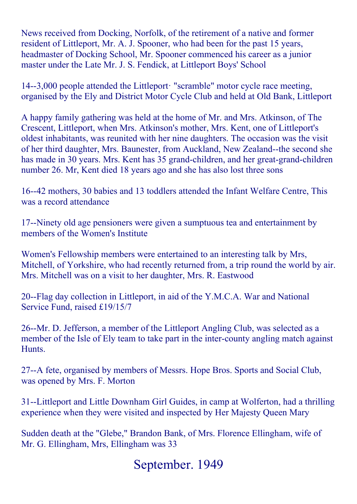News received from Docking, Norfolk, of the retirement of a native and former resident of Littleport, Mr. A. J. Spooner, who had been for the past 15 years, headmaster of Docking School, Mr. Spooner commenced his career as a junior master under the Late Mr. J. S. Fendick, at Littleport Boys' School

14--3,000 people attended the Littleport· "scramble" motor cycle race meeting, organised by the Ely and District Motor Cycle Club and held at Old Bank, Littleport

A happy family gathering was held at the home of Mr. and Mrs. Atkinson, of The Crescent, Littleport, when Mrs. Atkinson's mother, Mrs. Kent, one of Littleport's oldest inhabitants, was reunited with her nine daughters. The occasion was the visit of her third daughter, Mrs. Baunester, from Auckland, New Zealand--the second she has made in 30 years. Mrs. Kent has 35 grand-children, and her great-grand-children number 26. Mr, Kent died 18 years ago and she has also lost three sons

16--42 mothers, 30 babies and 13 toddlers attended the Infant Welfare Centre, This was a record attendance

17-Ninety old age pensioners were given a sumptuous tea and entertainment by members of the Women's Institute

Women's Fellowship members were entertained to an interesting talk by Mrs, Mitchell, of Yorkshire, who had recently returned from, a trip round the world by air. Mrs. Mitchell was on a visit to her daughter, Mrs. R. Eastwood

20--Flag day collection in Littleport, in aid of the Y.M.C.A. War and National Service Fund, raised £19/15/7

26--Mr. D. Jefferson, a member of the Littleport Angling Club, was selected as a member of the Isle of Ely team to take part in the inter-county angling match against **Hunts** 

27--A fete, organised by members of Messrs. Hope Bros. Sports and Social Club, was opened by Mrs. F. Morton

31--Littleport and Little Downham Girl Guides, in camp at Wolferton, had a thrilling experience when they were visited and inspected by Her Majesty Queen Mary

Sudden death at the "Glebe," Brandon Bank, of Mrs. Florence Ellingham, wife of Mr. G. Ellingham, Mrs, Ellingham was 33

September. 1949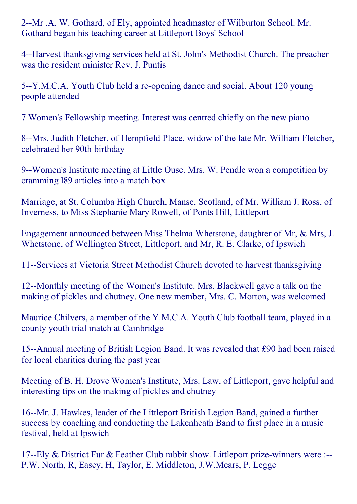2--Mr .A. W. Gothard, of Ely, appointed headmaster of Wilburton School. Mr. Gothard began his teaching career at Littleport Boys' School

4--Harvest thanksgiving services held at St. John's Methodist Church. The preacher was the resident minister Rev. J. Puntis

5--Y.M.C.A. Youth Club held a re-opening dance and social. About 120 young people attended

7 Women's Fellowship meeting. Interest was centred chiefly on the new piano

8--Mrs. Judith Fletcher, of Hempfield Place, widow of the late Mr. William Fletcher, celebrated her 90th birthday

9--Women's Institute meeting at Little Ouse. Mrs. W. Pendle won a competition by cramming l89 articles into a match box

Marriage, at St. Columba High Church, Manse, Scotland, of Mr. William J. Ross, of Inverness, to Miss Stephanie Mary Rowell, of Ponts Hill, Littleport

Engagement announced between Miss Thelma Whetstone, daughter of Mr, & Mrs, J. Whetstone, of Wellington Street, Littleport, and Mr, R. E. Clarke, of Ipswich

11-Services at Victoria Street Methodist Church devoted to harvest thanksgiving

12--Monthly meeting of the Women's Institute. Mrs. Blackwell gave a talk on the making of pickles and chutney. One new member, Mrs. C. Morton, was welcomed

Maurice Chilvers, a member of the Y.M.C.A. Youth Club football team, played in a county youth trial match at Cambridge

15--Annual meeting of British Legion Band. It was revealed that £90 had been raised for local charities during the past year

Meeting of B. H. Drove Women's Institute, Mrs. Law, of Littleport, gave helpful and interesting tips on the making of pickles and chutney

16--Mr. J. Hawkes, leader of the Littleport British Legion Band, gained a further success by coaching and conducting the Lakenheath Band to first place in a music festival, held at Ipswich

17--Ely & District Fur & Feather Club rabbit show. Littleport prize-winners were :--P.W. North, R, Easey, H, Taylor, E. Middleton, J.W.Mears, P. Legge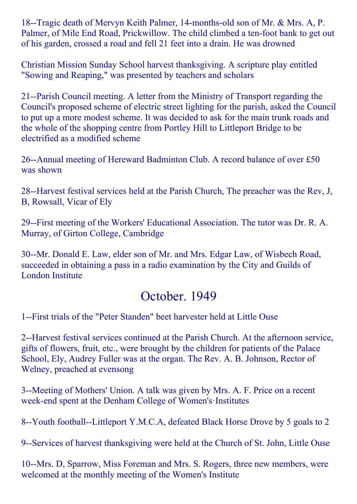18--Tragic death of Mervyn Keith Palmer, 14-months-old son of Mr. & Mrs. A, P. Palmer, of Mile End Road, Prickwillow. The child climbed a ten-foot bank to get out of his garden, crossed a road and fell 21 feet into a drain. He was drowned

Christian Mission Sunday School harvest thanksgiving. A scripture play entitled "Sowing and Reaping," was presented by teachers and scholars

21-Parish Council meeting. A letter from the Ministry of Transport regarding the Council's proposed scheme of electric street lighting for the parish, asked the Council to put up a more modest scheme. It was decided to ask for the main trunk roads and the whole of the shopping centre from Portley Hill to Littleport Bridge to be electrified as a modified scheme

 $26$ --Annual meeting of Hereward Badminton Club. A record balance of over £50 was shown

28--Harvest festival services held at the Parish Church, The preacher was the Rev, J, B, Rowsall, Vicar of Ely

29-First meeting of the Workers' Educational Association. The tutor was Dr. R. A. Murray, of Girton College, Cambridge

30--Mr. Donald E. Law, elder son of Mr. and Mrs. Edgar Law, of Wisbech Road, succeeded in obtaining a pass in a radio examination by the City and Guilds of London Institute

## October. 1949

1--First trials of the "Peter Standen" beet harvester held at Little Ouse

2--Harvest festival services continued at the Parish Church. At the afternoon service, gifts of flowers, fruit, etc., were brought by the children for patients of the Palace School, Ely, Audrey Fuller was at the organ. The Rev. A. B. Johnson, Rector of Welney, preached at evensong

3--Meeting of Mothers' Union. A talk was given by Mrs. A. F. Price on a recent week-end spent at the Denham College of Women's Institutes

8-Youth football--Littleport Y.M.C.A, defeated Black Horse Drove by 5 goals to 2

9--Services of harvest thanksgiving were held at the Church of St. John, Little Ouse

10--Mrs. D, Sparrow, Miss Foreman and Mrs. S. Rogers, three new members, were welcomed at the monthly meeting of the Women's Institute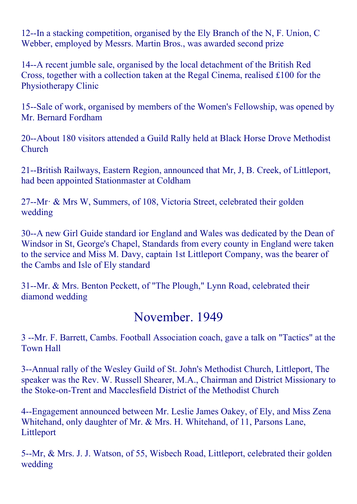12--In a stacking competition, organised by the Ely Branch of the N, F. Union, C Webber, employed by Messrs. Martin Bros., was awarded second prize

14--A recent jumble sale, organised by the local detachment of the British Red Cross, together with a collection taken at the Regal Cinema, realised £100 for the Physiotherapy Clinic

15--Sale of work, organised by members of the Women's Fellowship, was opened by Mr. Bernard Fordham

20--About 180 visitors attended a Guild Rally held at Black Horse Drove Methodist Church

21--British Railways, Eastern Region, announced that Mr, J, B. Creek, of Littleport, had been appointed Stationmaster at Coldham

 $27$ --Mr· & Mrs W, Summers, of 108, Victoria Street, celebrated their golden wedding

30--A new Girl Guide standard ior England and Wales was dedicated by the Dean of Windsor in St, George's Chapel, Standards from every county in England were taken to the service and Miss M. Davy, captain 1st Littleport Company, was the bearer of the Cambs and Isle of Ely standard

31--Mr. & Mrs. Benton Peckett, of "The Plough," Lynn Road, celebrated their diamond wedding

#### November. 1949

3 --Mr. F. Barrett, Cambs. Football Association coach, gave a talk on "Tactics" at the Town Hall

3--Annual rally of the Wesley Guild of St. John's Methodist Church, Littleport, The speaker was the Rev. W. Russell Shearer, M.A., Chairman and District Missionary to the Stoke-on-Trent and Macclesfield District of the Methodist Church

4--Engagement announced between Mr. Leslie James Oakey, of Ely, and Miss Zena Whitehand, only daughter of Mr. & Mrs. H. Whitehand, of 11, Parsons Lane, Littleport

5--Mr, & Mrs. J. J. Watson, of 55, Wisbech Road, Littleport, celebrated their golden wedding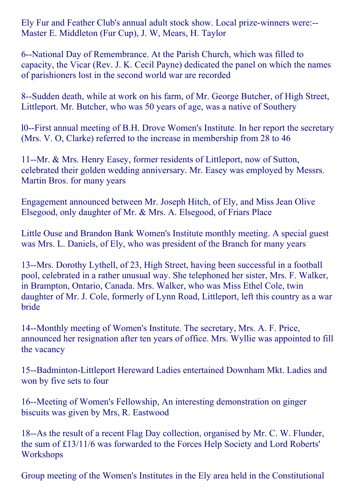Ely Fur and Feather Club's annual adult stock show. Local prize-winners were:--Master E. Middleton (Fur Cup), J. W, Mears, H. Taylor

6--National Day of Remembrance. At the Parish Church, which was filled to capacity, the Vicar (Rev. J. K. Cecil Payne) dedicated the panel on which the names of parishioners lost in the second world war are recorded

8--Sudden death, while at work on his farm, of Mr. George Butcher, of High Street, Littleport. Mr. Butcher, who was 50 years of age, was a native of Southery

10--First annual meeting of B.H. Drove Women's Institute. In her report the secretary (Mrs. V. O, Clarke) referred to the increase in membership from 28 to 46

11--Mr. & Mrs. Henry Easey, former residents of Littleport, now of Sutton, celebrated their golden wedding anniversary. Mr. Easey was employed by Messrs. Martin Bros. for many years

Engagement announced between Mr. Joseph Hitch, of Ely, and Miss Jean Olive Elsegood, only daughter of Mr. & Mrs. A. Elsegood, of Friars Place

Little Ouse and Brandon Bank Women's Institute monthly meeting. A special guest was Mrs. L. Daniels, of Ely, who was president of the Branch for many years

13--Mrs. Dorothy Lythell, of 23, High Street, having been successful in a football pool, celebrated in a rather unusual way. She telephoned her sister, Mrs. F. Walker, in Brampton, Ontario, Canada. Mrs. Walker, who was Miss Ethel Cole, twin daughter of Mr. J. Cole, formerly of Lynn Road, Littleport, left this country as a war bride

14--Monthly meeting of Women's Institute. The secretary, Mrs. A. F. Price, announced her resignation after ten years of office. Mrs. Wyllie was appointed to fill the vacancy

15--Badminton-Littleport Hereward Ladies entertained Downham Mkt. Ladies and won by five sets to four

16--Meeting of Women's Fellowship, An interesting demonstration on ginger biscuits was given by Mrs, R. Eastwood

18--As the result of a recent Flag Day collection, organised by Mr. C. W. Flunder, the sum of £13/11/6 was forwarded to the Forces Help Society and Lord Roberts' **Workshops** 

Group meeting of the Women's Institutes in the Ely area held in the Constitutional